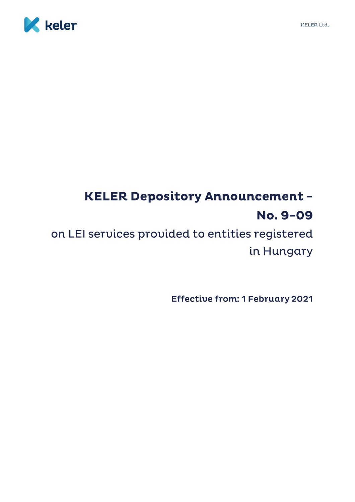

# **KELER Depository Announcement -**No. 9-09

on LEI services provided to entities registered in Hungary

**Effective from: 1 February 2021**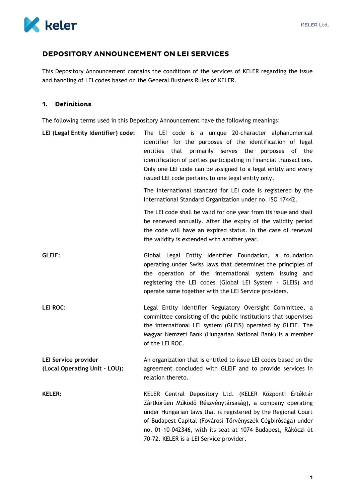

## DEPOSITORY ANNOUNCEMENT ON LEI SERVICES

This Depository Announcement contains the conditions of the services of KELER regarding the issue and handling of LEI codes based on the General Business Rules of KELER.

## 1. Definitions

The following terms used in this Depository Announcement have the following meanings:

| LEI (Legal Entity Identifier) code:                   | The LEI code is a unique 20-character alphanumerical<br>identifier for the purposes of the identification of legal<br>primarily serves the<br>entities<br>that<br>purposes<br>of the<br>identification of parties participating in financial transactions.<br>Only one LEI code can be assigned to a legal entity and every<br>issued LEI code pertains to one legal entity only. |
|-------------------------------------------------------|-----------------------------------------------------------------------------------------------------------------------------------------------------------------------------------------------------------------------------------------------------------------------------------------------------------------------------------------------------------------------------------|
|                                                       | The international standard for LEI code is registered by the<br>International Standard Organization under no. ISO 17442.                                                                                                                                                                                                                                                          |
|                                                       | The LEI code shall be valid for one year from its issue and shall<br>be renewed annually. After the expiry of the validity period<br>the code will have an expired status. In the case of renewal<br>the validity is extended with another year.                                                                                                                                  |
| <b>GLEIF:</b>                                         | Global Legal Entity Identifier Foundation, a foundation<br>operating under Swiss laws that determines the principles of<br>the operation of the international system issuing and<br>registering the LEI codes (Global LEI System - GLEIS) and<br>operate same together with the LEI Service providers.                                                                            |
| <b>LEI ROC:</b>                                       | Legal Entity Identifier Regulatory Oversight Committee, a<br>committee consisting of the public institutions that supervises<br>the international LEI system (GLEIS) operated by GLEIF. The<br>Magyar Nemzeti Bank (Hungarian National Bank) is a member<br>of the LEI ROC.                                                                                                       |
| LEI Service provider<br>(Local Operating Unit - LOU): | An organization that is entitled to issue LEI codes based on the<br>agreement concluded with GLEIF and to provide services in<br>relation thereto.                                                                                                                                                                                                                                |
| <b>KELER:</b>                                         | KELER Central Depository Ltd. (KELER Központi Értéktár<br>Zártkörűen Működő Részvénytársaság), a company operating<br>under Hungarian laws that is registered by the Regional Court<br>of Budapest-Capital (Fővárosi Törvényszék Cégbírósága) under<br>no. 01-10-042346, with its seat at 1074 Budapest, Rákóczi út<br>70-72. KELER is a LEI Service provider.                    |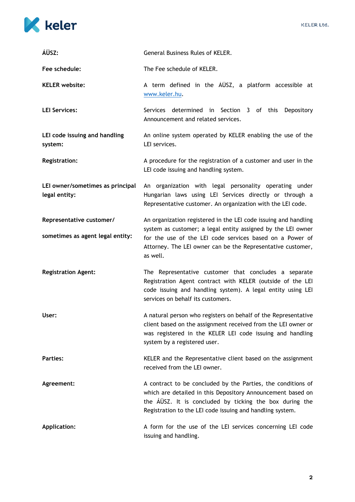

| ÁÜSZ:                                             | General Business Rules of KELER.                                                                                                                                                                                                                    |
|---------------------------------------------------|-----------------------------------------------------------------------------------------------------------------------------------------------------------------------------------------------------------------------------------------------------|
| Fee schedule:                                     | The Fee schedule of KELER.                                                                                                                                                                                                                          |
| <b>KELER</b> website:                             | A term defined in the AUSZ, a platform accessible at<br>www.keler.hu.                                                                                                                                                                               |
| <b>LEI Services:</b>                              | Services determined in Section 3 of this Depository<br>Announcement and related services.                                                                                                                                                           |
| LEI code issuing and handling<br>system:          | An online system operated by KELER enabling the use of the<br>LEI services.                                                                                                                                                                         |
| <b>Registration:</b>                              | A procedure for the registration of a customer and user in the<br>LEI code issuing and handling system.                                                                                                                                             |
| LEI owner/sometimes as principal<br>legal entity: | An organization with legal personality operating under<br>Hungarian laws using LEI Services directly or through a<br>Representative customer. An organization with the LEI code.                                                                    |
| Representative customer/                          | An organization registered in the LEI code issuing and handling<br>system as customer; a legal entity assigned by the LEI owner                                                                                                                     |
| sometimes as agent legal entity:                  | for the use of the LEI code services based on a Power of<br>Attorney. The LEI owner can be the Representative customer,<br>as well.                                                                                                                 |
| <b>Registration Agent:</b>                        | The Representative customer that concludes a separate<br>Registration Agent contract with KELER (outside of the LEI<br>code issuing and handling system). A legal entity using LEI<br>services on behalf its customers.                             |
| User:                                             | A natural person who registers on behalf of the Representative<br>client based on the assignment received from the LEI owner or<br>was registered in the KELER LEI code issuing and handling<br>system by a registered user.                        |
| <b>Parties:</b>                                   | KELER and the Representative client based on the assignment<br>received from the LEI owner.                                                                                                                                                         |
| Agreement:                                        | A contract to be concluded by the Parties, the conditions of<br>which are detailed in this Depository Announcement based on<br>the AUSZ. It is concluded by ticking the box during the<br>Registration to the LEI code issuing and handling system. |
| <b>Application:</b>                               | A form for the use of the LEI services concerning LEI code<br>issuing and handling.                                                                                                                                                                 |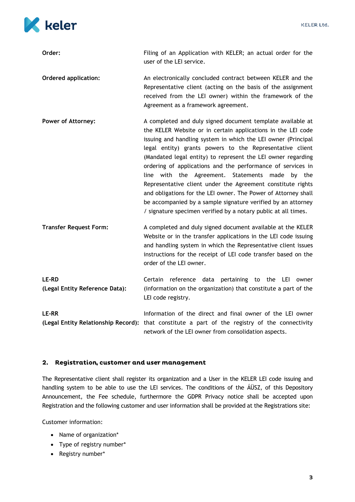

| Order:                                              | Filing of an Application with KELER; an actual order for the<br>user of the LEI service.                                                                                                                                                                                                                                                                                                                                                                                                                                                                                                                                                                                                                     |
|-----------------------------------------------------|--------------------------------------------------------------------------------------------------------------------------------------------------------------------------------------------------------------------------------------------------------------------------------------------------------------------------------------------------------------------------------------------------------------------------------------------------------------------------------------------------------------------------------------------------------------------------------------------------------------------------------------------------------------------------------------------------------------|
| <b>Ordered application:</b>                         | An electronically concluded contract between KELER and the<br>Representative client (acting on the basis of the assignment<br>received from the LEI owner) within the framework of the<br>Agreement as a framework agreement.                                                                                                                                                                                                                                                                                                                                                                                                                                                                                |
| <b>Power of Attorney:</b>                           | A completed and duly signed document template available at<br>the KELER Website or in certain applications in the LEI code<br>issuing and handling system in which the LEI owner (Principal<br>legal entity) grants powers to the Representative client<br>(Mandated legal entity) to represent the LEI owner regarding<br>ordering of applications and the performance of services in<br>line with the Agreement. Statements made by the<br>Representative client under the Agreement constitute rights<br>and obligations for the LEI owner. The Power of Attorney shall<br>be accompanied by a sample signature verified by an attorney<br>/ signature specimen verified by a notary public at all times. |
| <b>Transfer Request Form:</b>                       | A completed and duly signed document available at the KELER<br>Website or in the transfer applications in the LEI code issuing<br>and handling system in which the Representative client issues<br>instructions for the receipt of LEI code transfer based on the<br>order of the LEI owner.                                                                                                                                                                                                                                                                                                                                                                                                                 |
| <b>LE-RD</b><br>(Legal Entity Reference Data):      | Certain<br>reference data pertaining to the<br>LEI<br>owner<br>(information on the organization) that constitute a part of the<br>LEI code registry.                                                                                                                                                                                                                                                                                                                                                                                                                                                                                                                                                         |
| <b>LE-RR</b><br>(Legal Entity Relationship Record): | Information of the direct and final owner of the LEI owner<br>that constitute a part of the registry of the connectivity<br>network of the LEI owner from consolidation aspects.                                                                                                                                                                                                                                                                                                                                                                                                                                                                                                                             |

#### $2.$ Registration, customer and user management

The Representative client shall register its organization and a User in the KELER LEI code issuing and handling system to be able to use the LEI services. The conditions of the ÁÜSZ, of this Depository Announcement, the Fee schedule, furthermore the GDPR Privacy notice shall be accepted upon Registration and the following customer and user information shall be provided at the Registrations site:

Customer information:

- Name of organization\*
- Type of registry number\*
- Registry number\*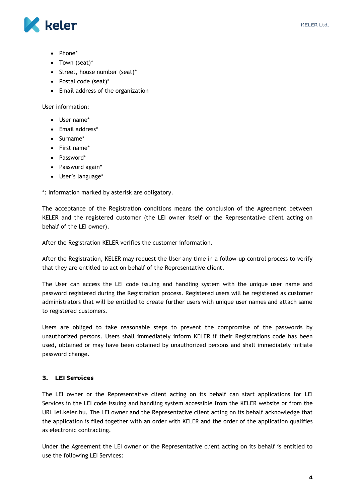

- Phone\*
- Town (seat)\*
- Street, house number (seat)\*
- Postal code (seat)\*
- Email address of the organization

User information:

- User name\*
- Email address\*
- Surname\*
- First name\*
- Password\*
- Password again\*
- User's language\*

\*: Information marked by asterisk are obligatory.

The acceptance of the Registration conditions means the conclusion of the Agreement between KELER and the registered customer (the LEI owner itself or the Representative client acting on behalf of the LEI owner).

After the Registration KELER verifies the customer information.

After the Registration, KELER may request the User any time in a follow-up control process to verify that they are entitled to act on behalf of the Representative client.

The User can access the LEI code issuing and handling system with the unique user name and password registered during the Registration process. Registered users will be registered as customer administrators that will be entitled to create further users with unique user names and attach same to registered customers.

Users are obliged to take reasonable steps to prevent the compromise of the passwords by unauthorized persons. Users shall immediately inform KELER if their Registrations code has been used, obtained or may have been obtained by unauthorized persons and shall immediately initiate password change.

#### 3. LEI Services

The LEI owner or the Representative client acting on its behalf can start applications for LEI Services in the LEI code issuing and handling system accessible from the KELER website or from the URL lei.keler.hu. The LEI owner and the Representative client acting on its behalf acknowledge that the application is filed together with an order with KELER and the order of the application qualifies as electronic contracting.

Under the Agreement the LEI owner or the Representative client acting on its behalf is entitled to use the following LEI Services: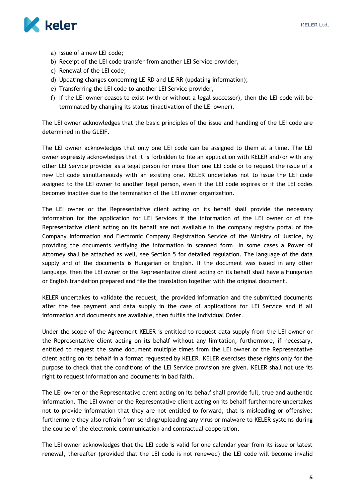

- a) Issue of a new LEI code;
- b) Receipt of the LEI code transfer from another LEI Service provider,
- c) Renewal of the LEI code;
- d) Updating changes concerning LE-RD and LE-RR (updating information);
- e) Transferring the LEI code to another LEI Service provider,
- f) If the LEI owner ceases to exist (with or without a legal successor), then the LEI code will be terminated by changing its status (inactivation of the LEI owner).

The LEI owner acknowledges that the basic principles of the issue and handling of the LEI code are determined in the GLEIF.

The LEI owner acknowledges that only one LEI code can be assigned to them at a time. The LEI owner expressly acknowledges that it is forbidden to file an application with KELER and/or with any other LEI Service provider as a legal person for more than one LEI code or to request the issue of a new LEI code simultaneously with an existing one. KELER undertakes not to issue the LEI code assigned to the LEI owner to another legal person, even if the LEI code expires or if the LEI codes becomes inactive due to the termination of the LEI owner organization.

The LEI owner or the Representative client acting on its behalf shall provide the necessary information for the application for LEI Services if the information of the LEI owner or of the Representative client acting on its behalf are not available in the company registry portal of the Company Information and Electronic Company Registration Service of the Ministry of Justice, by providing the documents verifying the information in scanned form. In some cases a Power of Attorney shall be attached as well, see Section 5 for detailed regulation. The language of the data supply and of the documents is Hungarian or English. If the document was issued in any other language, then the LEI owner or the Representative client acting on its behalf shall have a Hungarian or English translation prepared and file the translation together with the original document.

KELER undertakes to validate the request, the provided information and the submitted documents after the fee payment and data supply in the case of applications for LEI Service and if all information and documents are available, then fulfils the Individual Order.

Under the scope of the Agreement KELER is entitled to request data supply from the LEI owner or the Representative client acting on its behalf without any limitation, furthermore, if necessary, entitled to request the same document multiple times from the LEI owner or the Representative client acting on its behalf in a format requested by KELER. KELER exercises these rights only for the purpose to check that the conditions of the LEI Service provision are given. KELER shall not use its right to request information and documents in bad faith.

The LEI owner or the Representative client acting on its behalf shall provide full, true and authentic information. The LEI owner or the Representative client acting on its behalf furthermore undertakes not to provide information that they are not entitled to forward, that is misleading or offensive; furthermore they also refrain from sending/uploading any virus or malware to KELER systems during the course of the electronic communication and contractual cooperation.

The LEI owner acknowledges that the LEI code is valid for one calendar year from its issue or latest renewal, thereafter (provided that the LEI code is not renewed) the LEI code will become invalid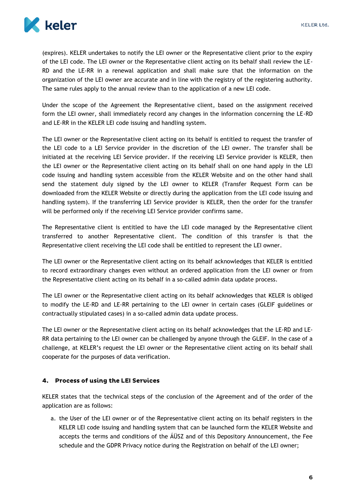

(expires). KELER undertakes to notify the LEI owner or the Representative client prior to the expiry of the LEI code. The LEI owner or the Representative client acting on its behalf shall review the LE-RD and the LE-RR in a renewal application and shall make sure that the information on the organization of the LEI owner are accurate and in line with the registry of the registering authority. The same rules apply to the annual review than to the application of a new LEI code.

Under the scope of the Agreement the Representative client, based on the assignment received form the LEI owner, shall immediately record any changes in the information concerning the LE-RD and LE-RR in the KELER LEI code issuing and handling system.

The LEI owner or the Representative client acting on its behalf is entitled to request the transfer of the LEI code to a LEI Service provider in the discretion of the LEI owner. The transfer shall be initiated at the receiving LEI Service provider. If the receiving LEI Service provider is KELER, then the LEI owner or the Representative client acting on its behalf shall on one hand apply in the LEI code issuing and handling system accessible from the KELER Website and on the other hand shall send the statement duly signed by the LEI owner to KELER (Transfer Request Form can be downloaded from the KELER Website or directly during the application from the LEI code issuing and handling system). If the transferring LEI Service provider is KELER, then the order for the transfer will be performed only if the receiving LEI Service provider confirms same.

The Representative client is entitled to have the LEI code managed by the Representative client transferred to another Representative client. The condition of this transfer is that the Representative client receiving the LEI code shall be entitled to represent the LEI owner.

The LEI owner or the Representative client acting on its behalf acknowledges that KELER is entitled to record extraordinary changes even without an ordered application from the LEI owner or from the Representative client acting on its behalf in a so-called admin data update process.

The LEI owner or the Representative client acting on its behalf acknowledges that KELER is obliged to modify the LE-RD and LE-RR pertaining to the LEI owner in certain cases (GLEIF guidelines or contractually stipulated cases) in a so-called admin data update process.

The LEI owner or the Representative client acting on its behalf acknowledges that the LE-RD and LE-RR data pertaining to the LEI owner can be challenged by anyone through the GLEIF. In the case of a challenge, at KELER's request the LEI owner or the Representative client acting on its behalf shall cooperate for the purposes of data verification.

### 4. Process of using the LEI Services

KELER states that the technical steps of the conclusion of the Agreement and of the order of the application are as follows:

a. the User of the LEI owner or of the Representative client acting on its behalf registers in the KELER LEI code issuing and handling system that can be launched form the KELER Website and accepts the terms and conditions of the ÁÜSZ and of this Depository Announcement, the Fee schedule and the GDPR Privacy notice during the Registration on behalf of the LEI owner;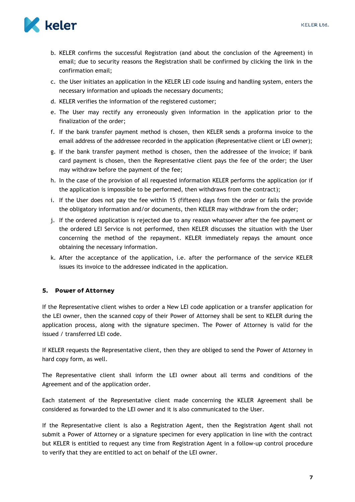

- b. KELER confirms the successful Registration (and about the conclusion of the Agreement) in email; due to security reasons the Registration shall be confirmed by clicking the link in the confirmation email;
- c. the User initiates an application in the KELER LEI code issuing and handling system, enters the necessary information and uploads the necessary documents;
- d. KELER verifies the information of the registered customer;
- e. The User may rectify any erroneously given information in the application prior to the finalization of the order;
- f. If the bank transfer payment method is chosen, then KELER sends a proforma invoice to the email address of the addressee recorded in the application (Representative client or LEI owner);
- g. If the bank transfer payment method is chosen, then the addressee of the invoice; if bank card payment is chosen, then the Representative client pays the fee of the order; the User may withdraw before the payment of the fee;
- h. In the case of the provision of all requested information KELER performs the application (or if the application is impossible to be performed, then withdraws from the contract);
- i. If the User does not pay the fee within 15 (fifteen) days from the order or fails the provide the obligatory information and/or documents, then KELER may withdraw from the order;
- j. If the ordered application is rejected due to any reason whatsoever after the fee payment or the ordered LEI Service is not performed, then KELER discusses the situation with the User concerning the method of the repayment. KELER immediately repays the amount once obtaining the necessary information.
- k. After the acceptance of the application, i.e. after the performance of the service KELER issues its invoice to the addressee indicated in the application.

#### 5. Power of Attorney

If the Representative client wishes to order a New LEI code application or a transfer application for the LEI owner, then the scanned copy of their Power of Attorney shall be sent to KELER during the application process, along with the signature specimen. The Power of Attorney is valid for the issued / transferred LEI code.

If KELER requests the Representative client, then they are obliged to send the Power of Attorney in hard copy form, as well.

The Representative client shall inform the LEI owner about all terms and conditions of the Agreement and of the application order.

Each statement of the Representative client made concerning the KELER Agreement shall be considered as forwarded to the LEI owner and it is also communicated to the User.

If the Representative client is also a Registration Agent, then the Registration Agent shall not submit a Power of Attorney or a signature specimen for every application in line with the contract but KELER is entitled to request any time from Registration Agent in a follow-up control procedure to verify that they are entitled to act on behalf of the LEI owner.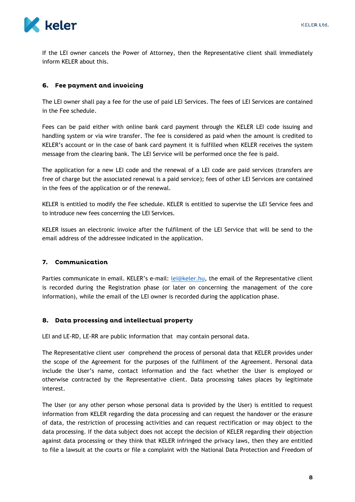

If the LEI owner cancels the Power of Attorney, then the Representative client shall immediately inform KELER about this.

#### **Fee payment and invoicing** 6.

The LEI owner shall pay a fee for the use of paid LEI Services. The fees of LEI Services are contained in the Fee schedule.

Fees can be paid either with online bank card payment through the KELER LEI code issuing and handling system or via wire transfer. The fee is considered as paid when the amount is credited to KELER's account or in the case of bank card payment it is fulfilled when KELER receives the system message from the clearing bank. The LEI Service will be performed once the fee is paid.

The application for a new LEI code and the renewal of a LEI code are paid services (transfers are free of charge but the associated renewal is a paid service); fees of other LEI Services are contained in the fees of the application or of the renewal.

KELER is entitled to modify the Fee schedule. KELER is entitled to supervise the LEI Service fees and to introduce new fees concerning the LEI Services.

KELER issues an electronic invoice after the fulfilment of the LEI Service that will be send to the email address of the addressee indicated in the application.

#### 7. Communication

Parties communicate in email. KELER's e-mail: [lei@keler.hu,](mailto:lei@keler.hu) the email of the Representative client is recorded during the Registration phase (or later on concerning the management of the core information), while the email of the LEI owner is recorded during the application phase.

#### 8. Data processing and intellectual property

LEI and LE-RD, LE-RR are public information that may contain personal data.

The Representative client user comprehend the process of personal data that KELER provides under the scope of the Agreement for the purposes of the fulfilment of the Agreement. Personal data include the User's name, contact information and the fact whether the User is employed or otherwise contracted by the Representative client. Data processing takes places by legitimate interest.

The User (or any other person whose personal data is provided by the User) is entitled to request information from KELER regarding the data processing and can request the handover or the erasure of data, the restriction of processing activities and can request rectification or may object to the data processing. If the data subject does not accept the decision of KELER regarding their objection against data processing or they think that KELER infringed the privacy laws, then they are entitled to file a lawsuit at the courts or file a complaint with the National Data Protection and Freedom of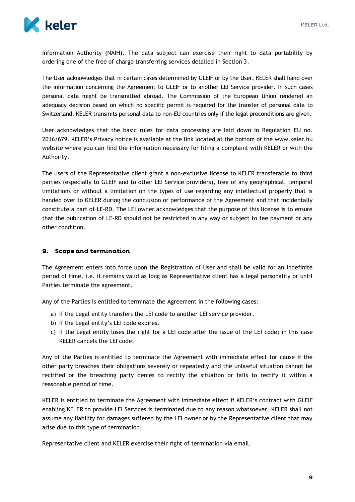

Information Authority (NAIH). The data subject can exercise their right to data portability by ordering one of the free of charge transferring services detailed in Section 3.

The User acknowledges that in certain cases determined by GLEIF or by the User, KELER shall hand over the information concerning the Agreement to GLEIF or to another LEI Service provider. In such cases personal data might be transmitted abroad. The Commission of the European Union rendered an adequacy decision based on which no specific permit is required for the transfer of personal data to Switzerland. KELER transmits personal data to non-EU countries only if the legal preconditions are given.

User acknowledges that the basic rules for data processing are laid down in Regulation EU no. 2016/679. KELER's Privacy notice is available at the link located at the bottom of the www.keler.hu website where you can find the information necessary for filing a complaint with KELER or with the Authority.

The users of the Representative client grant a non-exclusive license to KELER transferable to third parties (especially to GLEIF and to other LEI Service providers), free of any geographical, temporal limitations or without a limitation on the types of use regarding any intellectual property that is handed over to KELER during the conclusion or performance of the Agreement and that incidentally constitute a part of LE-RD. The LEI owner acknowledges that the purpose of this license is to ensure that the publication of LE-RD should not be restricted in any way or subject to fee payment or any other condition.

#### 9. Scope and termination

The Agreement enters into force upon the Registration of User and shall be valid for an indefinite period of time, i.e. it remains valid as long as Representative client has a legal personality or until Parties terminate the agreement.

Any of the Parties is entitled to terminate the Agreement in the following cases:

- a) If the Legal entity transfers the LEI code to another LEI service provider.
- b) If the Legal entity's LEI code expires.
- c) If the Legal entity loses the right for a LEI code after the issue of the LEI code; in this case KELER cancels the LEI code.

Any of the Parties is entitled to terminate the Agreement with immediate effect for cause if the other party breaches their obligations severely or repeatedly and the unlawful situation cannot be rectified or the breaching party denies to rectify the situation or fails to rectify it within a reasonable period of time.

KELER is entitled to terminate the Agreement with immediate effect if KELER's contract with GLEIF enabling KELER to provide LEI Services is terminated due to any reason whatsoever. KELER shall not assume any liability for damages suffered by the LEI owner or by the Representative client that may arise due to this type of termination.

Representative client and KELER exercise their right of termination via email.